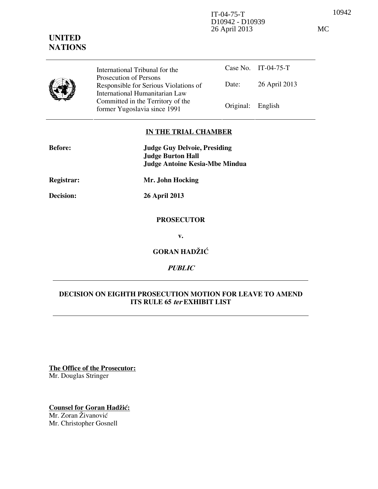10942 IT-04-75-T D10942 - D10939 26 April 2013 MC

|  | International Tribunal for the                                                                    |                   | Case No. IT-04-75-T |
|--|---------------------------------------------------------------------------------------------------|-------------------|---------------------|
|  | Prosecution of Persons<br>Responsible for Serious Violations of<br>International Humanitarian Law | Date:             | 26 April 2013       |
|  | Committed in the Territory of the<br>former Yugoslavia since 1991                                 | Original: English |                     |

# **IN THE TRIAL CHAMBER**

| <b>Before:</b> | <b>Judge Guy Delvoie, Presiding</b>   |  |  |
|----------------|---------------------------------------|--|--|
|                | <b>Judge Burton Hall</b>              |  |  |
|                | <b>Judge Antoine Kesia-Mbe Mindua</b> |  |  |
| Registrar:     | Mr. John Hocking                      |  |  |
| Decision:      | <b>26 April 2013</b>                  |  |  |
|                | <b>PROSECUTOR</b>                     |  |  |
|                | v.                                    |  |  |
|                | <b>GORAN HADŽIĆ</b>                   |  |  |
|                | <i>PUBLIC</i>                         |  |  |

# **DECISION ON EIGHTH PROSECUTION MOTION FOR LEAVE TO AMEND ITS RULE 65 ter EXHIBIT LIST**

**The Office of the Prosecutor:** Mr. Douglas Stringer

**Counsel for Goran Hadžić:** Mr. Zoran Živanović Mr. Christopher Gosnell

# **UNITED NATIONS**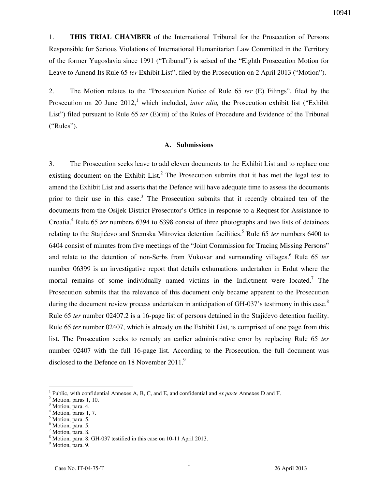1. **THIS TRIAL CHAMBER** of the International Tribunal for the Prosecution of Persons Responsible for Serious Violations of International Humanitarian Law Committed in the Territory of the former Yugoslavia since 1991 ("Tribunal") is seised of the "Eighth Prosecution Motion for Leave to Amend Its Rule 65 *ter* Exhibit List", filed by the Prosecution on 2 April 2013 ("Motion").

2. The Motion relates to the "Prosecution Notice of Rule 65 *ter* (E) Filings", filed by the Prosecution on 20 June 2012,<sup>1</sup> which included, *inter alia*, the Prosecution exhibit list ("Exhibit") List") filed pursuant to Rule 65 *ter* (E)(iii) of the Rules of Procedure and Evidence of the Tribunal ("Rules").

#### **A. Submissions**

3. The Prosecution seeks leave to add eleven documents to the Exhibit List and to replace one existing document on the Exhibit List.<sup>2</sup> The Prosecution submits that it has met the legal test to amend the Exhibit List and asserts that the Defence will have adequate time to assess the documents prior to their use in this case.<sup>3</sup> The Prosecution submits that it recently obtained ten of the documents from the Osijek District Prosecutor's Office in response to a Request for Assistance to Croatia.<sup>4</sup> Rule 65 *ter* numbers 6394 to 6398 consist of three photographs and two lists of detainees relating to the Stajićevo and Sremska Mitrovica detention facilities.<sup>5</sup> Rule 65 *ter* numbers 6400 to 6404 consist of minutes from five meetings of the "Joint Commission for Tracing Missing Persons" and relate to the detention of non-Serbs from Vukovar and surrounding villages.<sup>6</sup> Rule 65 *ter* number 06399 is an investigative report that details exhumations undertaken in Erdut where the mortal remains of some individually named victims in the Indictment were located.<sup>7</sup> The Prosecution submits that the relevance of this document only became apparent to the Prosecution during the document review process undertaken in anticipation of GH-037's testimony in this case.<sup>8</sup> Rule 65 *ter* number 02407.2 is a 16-page list of persons detained in the Stajićevo detention facility. Rule 65 *ter* number 02407, which is already on the Exhibit List, is comprised of one page from this list. The Prosecution seeks to remedy an earlier administrative error by replacing Rule 65 *ter*  number 02407 with the full 16-page list. According to the Prosecution, the full document was disclosed to the Defence on 18 November 2011. $9$ 

 $\overline{a}$ 

<sup>1</sup> Public, with confidential Annexes A, B, C, and E, and confidential and *ex parte* Annexes D and F.

<sup>2</sup> Motion, paras 1, 10.

<sup>3</sup> Motion, para. 4.

 $^{4}$  Motion, paras 1, 7.

Motion, para. 5.

<sup>&</sup>lt;sup>6</sup> Motion, para. 5.

<sup>&</sup>lt;sup>7</sup> Motion, para. 8.

<sup>&</sup>lt;sup>8</sup> Motion, para. 8. GH-037 testified in this case on 10-11 April 2013.

<sup>&</sup>lt;sup>9</sup> Motion, para. 9.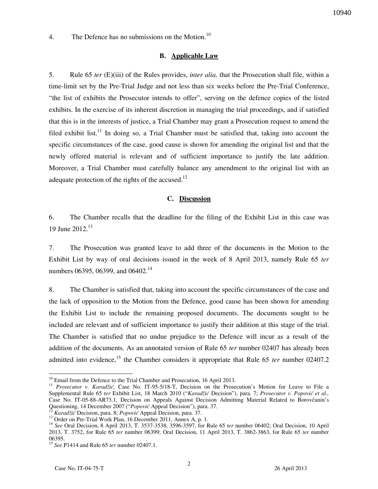4. The Defence has no submissions on the Motion.<sup>10</sup>

## **B. Applicable Law**

5. Rule 65 *ter* (E)(iii) of the Rules provides, *inter alia,* that the Prosecution shall file, within a time-limit set by the Pre-Trial Judge and not less than six weeks before the Pre-Trial Conference, "the list of exhibits the Prosecutor intends to offer", serving on the defence copies of the listed exhibits. In the exercise of its inherent discretion in managing the trial proceedings, and if satisfied that this is in the interests of justice, a Trial Chamber may grant a Prosecution request to amend the filed exhibit list.<sup>11</sup> In doing so, a Trial Chamber must be satisfied that, taking into account the specific circumstances of the case, good cause is shown for amending the original list and that the newly offered material is relevant and of sufficient importance to justify the late addition. Moreover, a Trial Chamber must carefully balance any amendment to the original list with an adequate protection of the rights of the accused. $^{12}$ 

### **C. Discussion**

6. The Chamber recalls that the deadline for the filing of the Exhibit List in this case was 19 June 2012.<sup>13</sup>

7. The Prosecution was granted leave to add three of the documents in the Motion to the Exhibit List by way of oral decisions issued in the week of 8 April 2013, namely Rule 65 *ter* numbers 06395, 06399, and 06402.<sup>14</sup>

8. The Chamber is satisfied that, taking into account the specific circumstances of the case and the lack of opposition to the Motion from the Defence, good cause has been shown for amending the Exhibit List to include the remaining proposed documents. The documents sought to be included are relevant and of sufficient importance to justify their addition at this stage of the trial. The Chamber is satisfied that no undue prejudice to the Defence will incur as a result of the addition of the documents. As an annotated version of Rule 65 *ter* number 02407 has already been admitted into evidence,<sup>15</sup> the Chamber considers it appropriate that Rule 65 *ter* number 02407.2

 $\overline{a}$ 

 $10$  Email from the Defence to the Trial Chamber and Prosecution, 16 April 2013.

<sup>&</sup>lt;sup>11</sup> Prosecutor v. Karadžić, Case No. IT-95-5/18-T, Decision on the Prosecution's Motion for Leave to File a Supplemental Rule 65 *ter* Exhibit List, 18 March 2010 ("*Karadžić* Decision"), para. 7; *Prosecutor v. Popović et al.,*  Case No. IT-05-88-AR73.1, Decision on Appeals Against Decision Admitting Material Related to Borovčanin's Questioning, 14 December 2007 ("*Popović* Appeal Decision"), para. 37.

<sup>12</sup> *Karadžić* Decision, para. 8; *Popović* Appeal Decision, para. 37.

 $^{13}$  Order on Pre-Trial Work Plan, 16 December 2011, Annex A, p. 1.

<sup>14</sup> *See* Oral Decision, 8 April 2013, T. 3537-3538, 3596-3597, for Rule 65 *ter* number 06402; Oral Decision, 10 April 2013, T. 3752, for Rule 65 *ter* number 06399; Oral Decision, 11 April 2013, T. 3862-3863, for Rule 65 *ter* number 06395.

<sup>15</sup> *See* P1414 and Rule 65 *ter* number 02407.1.